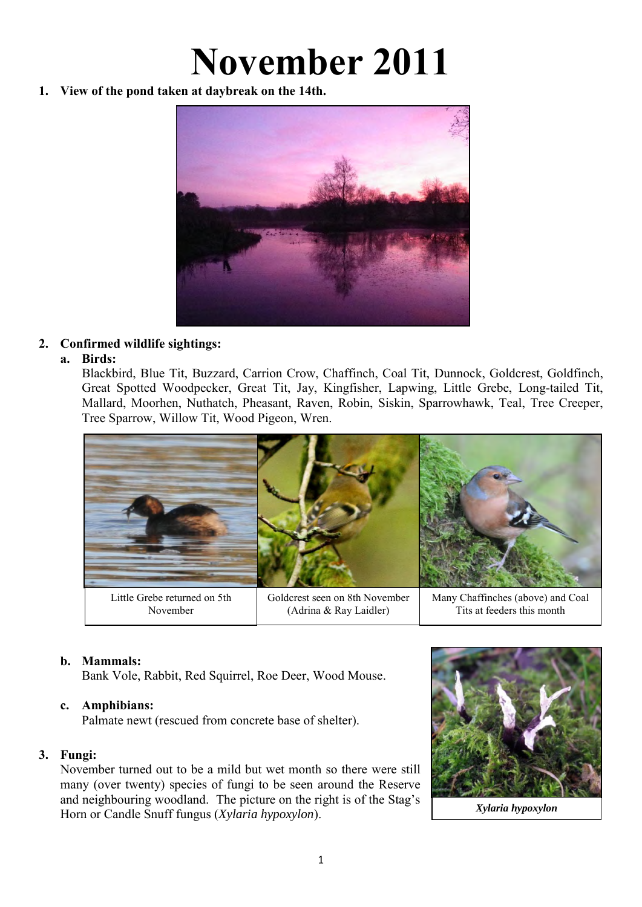# **November 2011**

**1. View of the pond taken at daybreak on the 14th.** 



# **2. Confirmed wildlife sightings:**

## **a. Birds:**

Blackbird, Blue Tit, Buzzard, Carrion Crow, Chaffinch, Coal Tit, Dunnock, Goldcrest, Goldfinch, Great Spotted Woodpecker, Great Tit, Jay, Kingfisher, Lapwing, Little Grebe, Long-tailed Tit, Mallard, Moorhen, Nuthatch, Pheasant, Raven, Robin, Siskin, Sparrowhawk, Teal, Tree Creeper, Tree Sparrow, Willow Tit, Wood Pigeon, Wren.



November

(Adrina & Ray Laidler)

Tits at feeders this month

# **b. Mammals:**

Bank Vole, Rabbit, Red Squirrel, Roe Deer, Wood Mouse.

# **c. Amphibians:**

Palmate newt (rescued from concrete base of shelter).

# **3. Fungi:**

November turned out to be a mild but wet month so there were still many (over twenty) species of fungi to be seen around the Reserve and neighbouring woodland. The picture on the right is of the Stag's Horn or Candle Snuff fungus (*Xylaria hypoxylon*).



*Xylaria hypoxylon*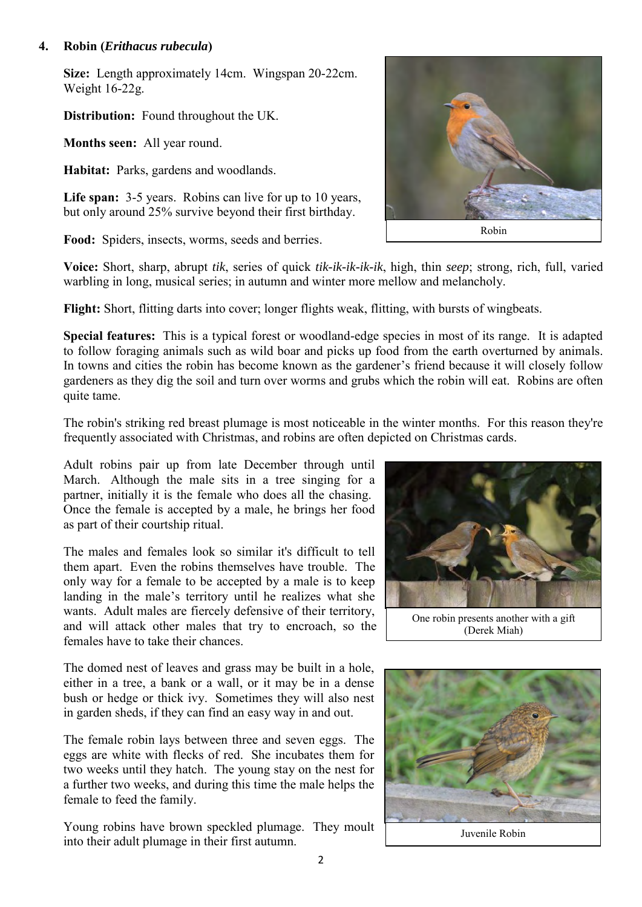#### **4. Robin (***Erithacus rubecula***)**

**Size:** Length approximately 14cm. Wingspan 20-22cm. Weight 16-22g.

**Distribution:** Found throughout the UK.

**Months seen:** All year round.

**Habitat:** Parks, gardens and woodlands.

**Life span:** 3-5 years. Robins can live for up to 10 years, but only around 25% survive beyond their first birthday.

**Food:** Spiders, insects, worms, seeds and berries.

**Voice:** Short, sharp, abrupt *tik*, series of quick *tik-ik-ik-ik-ik*, high, thin *seep*; strong, rich, full, varied warbling in long, musical series; in autumn and winter more mellow and melancholy.

**Flight:** Short, flitting darts into cover; longer flights weak, flitting, with bursts of wingbeats.

**Special features:** This is a typical forest or woodland-edge species in most of its range. It is adapted to follow foraging animals such as wild boar and picks up food from the earth overturned by animals. In towns and cities the robin has become known as the gardener's friend because it will closely follow gardeners as they dig the soil and turn over worms and grubs which the robin will eat. Robins are often quite tame.

The robin's striking red breast plumage is most noticeable in the winter months. For this reason they're frequently associated with Christmas, and robins are often depicted on Christmas cards.

Adult robins pair up from late December through until March. Although the male sits in a tree singing for a partner, initially it is the female who does all the chasing. Once the female is accepted by a male, he brings her food as part of their courtship ritual.

The males and females look so similar it's difficult to tell them apart. Even the robins themselves have trouble. The only way for a female to be accepted by a male is to keep landing in the male's territory until he realizes what she wants. Adult males are fiercely defensive of their territory, and will attack other males that try to encroach, so the females have to take their chances.

The domed nest of leaves and grass may be built in a hole, either in a tree, a bank or a wall, or it may be in a dense bush or hedge or thick ivy. Sometimes they will also nest in garden sheds, if they can find an easy way in and out.

The female robin lays between three and seven eggs. The eggs are white with flecks of red. She incubates them for two weeks until they hatch. The young stay on the nest for a further two weeks, and during this time the male helps the female to feed the family.

Young robins have brown speckled plumage. They moult into their adult plumage in their first autumn.







Juvenile Robin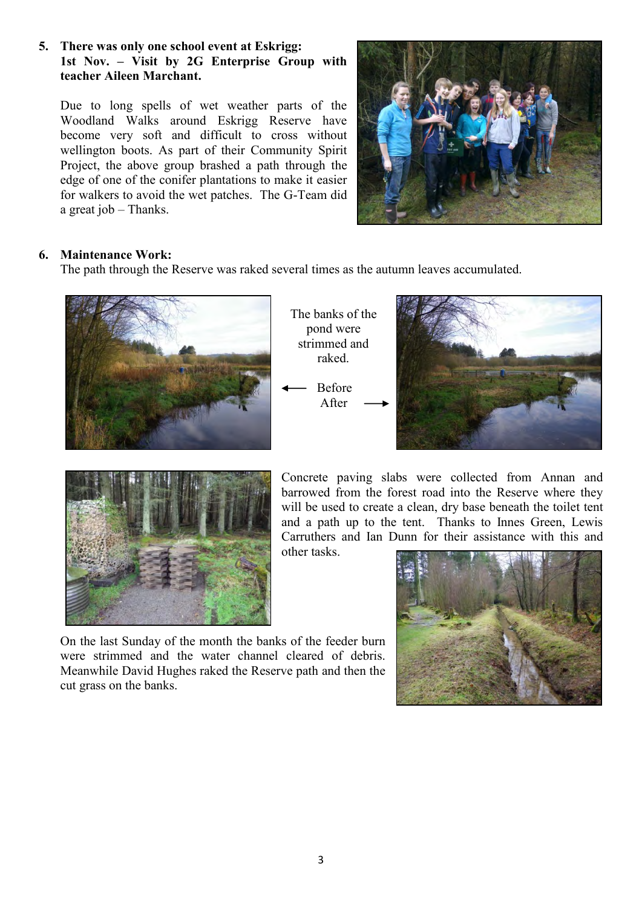#### **5. There was only one school event at Eskrigg: 1st Nov. – Visit by 2G Enterprise Group with teacher Aileen Marchant.**

Due to long spells of wet weather parts of the Woodland Walks around Eskrigg Reserve have become very soft and difficult to cross without wellington boots. As part of their Community Spirit Project, the above group brashed a path through the edge of one of the conifer plantations to make it easier for walkers to avoid the wet patches. The G-Team did a great job – Thanks.



## **6. Maintenance Work:**

The path through the Reserve was raked several times as the autumn leaves accumulated.



The banks of the pond were strimmed and raked.

Before After





Concrete paving slabs were collected from Annan and barrowed from the forest road into the Reserve where they will be used to create a clean, dry base beneath the toilet tent and a path up to the tent. Thanks to Innes Green, Lewis Carruthers and Ian Dunn for their assistance with this and other tasks.

On the last Sunday of the month the banks of the feeder burn were strimmed and the water channel cleared of debris. Meanwhile David Hughes raked the Reserve path and then the cut grass on the banks.